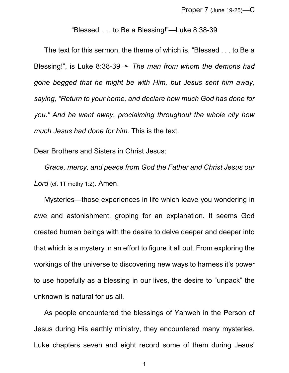"Blessed . . . to Be a Blessing!"—Luke 8:38-39

The text for this sermon, the theme of which is, "Blessed . . . to Be a Blessing!", is Luke 8:38-39  $\rightarrow$  *The man from whom the demons had gone begged that he might be with Him, but Jesus sent him away, saying, "Return to your home, and declare how much God has done for you." And he went away, proclaiming throughout the whole city how much Jesus had done for him.* This is the text.

Dear Brothers and Sisters in Christ Jesus:

*Grace, mercy, and peace from God the Father and Christ Jesus our Lord* (cf. 1Timothy 1:2). Amen.

Mysteries—those experiences in life which leave you wondering in awe and astonishment, groping for an explanation. It seems God created human beings with the desire to delve deeper and deeper into that which is a mystery in an effort to figure it all out. From exploring the workings of the universe to discovering new ways to harness it's power to use hopefully as a blessing in our lives, the desire to "unpack" the unknown is natural for us all.

As people encountered the blessings of Yahweh in the Person of Jesus during His earthly ministry, they encountered many mysteries. Luke chapters seven and eight record some of them during Jesus'

1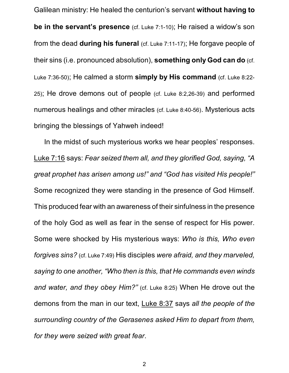Galilean ministry: He healed the centurion's servant **without having to be in the servant's presence** (cf. Luke 7:1-10); He raised a widow's son from the dead **during his funeral** (cf. Luke 7:11-17); He forgave people of their sins (i.e. pronounced absolution), **something only God can do** (cf. Luke 7:36-50); He calmed a storm **simply by His command** (cf. Luke 8:22- 25); He drove demons out of people (cf. Luke 8:2,26-39) and performed numerous healings and other miracles (cf. Luke 8:40-56). Mysterious acts bringing the blessings of Yahweh indeed!

In the midst of such mysterious works we hear peoples' responses. Luke 7:16 says: *Fear seized them all, and they glorified God, saying, "A great prophet has arisen among us!" and "God has visited His people!"* Some recognized they were standing in the presence of God Himself. This produced fear with an awareness of their sinfulness in the presence of the holy God as well as fear in the sense of respect for His power. Some were shocked by His mysterious ways: *Who is this, Who even forgives sins?* (cf. Luke 7:49) His disciples *were afraid, and they marveled, saying to one another, "Who then is this, that He commands even winds and water, and they obey Him?"* (cf. Luke 8:25) When He drove out the demons from the man in our text, Luke 8:37 says *all the people of the surrounding country of the Gerasenes asked Him to depart from them, for they were seized with great fear*.

2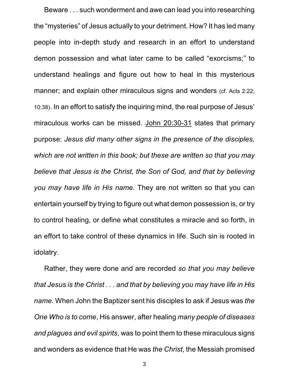Beware . . . such wonderment and awe can lead you into researching the "mysteries" of Jesus actually to your detriment. How? It has led many people into in-depth study and research in an effort to understand demon possession and what later came to be called "exorcisms;" to understand healings and figure out how to heal in this mysterious manner; and explain other miraculous signs and wonders (cf. Acts 2:22; 10:38). In an effort to satisfy the inquiring mind, the real purpose of Jesus' miraculous works can be missed. John 20:30-31 states that primary purpose: *Jesus did many other signs in the presence of the disciples, which are not written in this book; but these are written so that you may believe that Jesus is the Christ, the Son of God, and that by believing you may have life in His name.* They are not written so that you can entertain yourself by trying to figure out what demon possession is, or try to control healing, or define what constitutes a miracle and so forth, in an effort to take control of these dynamics in life. Such sin is rooted in idolatry.

Rather, they were done and are recorded *so that you may believe that Jesus is the Christ . . . and that by believing you may have life in His name*. When John the Baptizer sent his disciples to ask if Jesus was *the One Who is to come*, His answer, after healing *many people of diseases and plagues and evil spirits*, was to point them to these miraculous signs and wonders as evidence that He was *the Christ*, the Messiah promised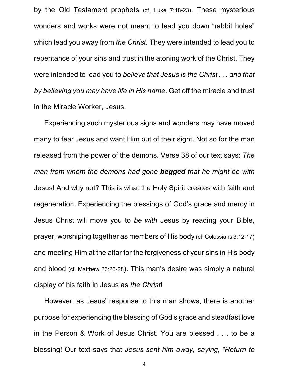by the Old Testament prophets (cf. Luke 7:18-23). These mysterious wonders and works were not meant to lead you down "rabbit holes" which lead you away from *the Christ*. They were intended to lead you to repentance of your sins and trust in the atoning work of the Christ. They were intended to lead you to *believe that Jesus is the Christ . . . and that by believing you may have life in His name*. Get off the miracle and trust in the Miracle Worker, Jesus.

Experiencing such mysterious signs and wonders may have moved many to fear Jesus and want Him out of their sight. Not so for the man released from the power of the demons. Verse 38 of our text says: *The man from whom the demons had gone begged that he might be with* Jesus! And why not? This is what the Holy Spirit creates with faith and regeneration. Experiencing the blessings of God's grace and mercy in Jesus Christ will move you to *be with* Jesus by reading your Bible, prayer, worshiping together as members of His body (cf. Colossians 3:12-17) and meeting Him at the altar for the forgiveness of your sins in His body and blood (cf. Matthew 26:26-28). This man's desire was simply a natural display of his faith in Jesus as *the Christ*!

However, as Jesus' response to this man shows, there is another purpose for experiencing the blessing of God's grace and steadfast love in the Person & Work of Jesus Christ. You are blessed . . . to be a blessing! Our text says that *Jesus sent him away, saying, "Return to*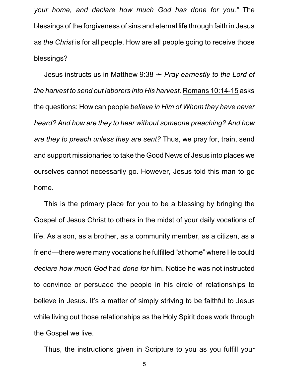*your home, and declare how much God has done for you."* The blessings of the forgiveness of sins and eternal life through faith in Jesus as *the Christ* is for all people. How are all people going to receive those blessings?

Jesus instructs us in Matthew 9:38  $\rightarrow$  *Pray earnestly to the Lord of the harvest to send out laborers into His harvest.* Romans 10:14-15 asks the questions: How can people *believe in Him of Whom they have never heard? And how are they to hear without someone preaching? And how are they to preach unless they are sent?* Thus, we pray for, train, send and support missionaries to take the Good News of Jesus into places we ourselves cannot necessarily go. However, Jesus told this man to go home.

This is the primary place for you to be a blessing by bringing the Gospel of Jesus Christ to others in the midst of your daily vocations of life. As a son, as a brother, as a community member, as a citizen, as a friend—there were many vocations he fulfilled "at home" where He could *declare how much God* had *done for* him. Notice he was not instructed to convince or persuade the people in his circle of relationships to believe in Jesus. It's a matter of simply striving to be faithful to Jesus while living out those relationships as the Holy Spirit does work through the Gospel we live.

Thus, the instructions given in Scripture to you as you fulfill your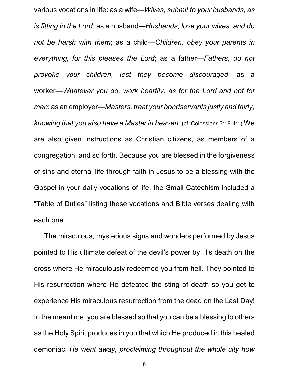various vocations in life: as a wife—*Wives, submit to your husbands, as is fitting in the Lord*; as a husband—*Husbands, love your wives, and do not be harsh with them*; as a child—*Children, obey your parents in everything, for this pleases the Lord*; as a father—*Fathers, do not provoke your children, lest they become discouraged*; as a worker—*Whatever you do, work heartily, as for the Lord and not for men*; as an employer—*Masters, treat your bondservants justly and fairly, knowing that you also have a Master in heaven*. (cf. Colossians 3:18-4:1) We are also given instructions as Christian citizens, as members of a congregation, and so forth. Because you are blessed in the forgiveness of sins and eternal life through faith in Jesus to be a blessing with the Gospel in your daily vocations of life, the Small Catechism included a "Table of Duties" listing these vocations and Bible verses dealing with each one.

The miraculous, mysterious signs and wonders performed by Jesus pointed to His ultimate defeat of the devil's power by His death on the cross where He miraculously redeemed you from hell. They pointed to His resurrection where He defeated the sting of death so you get to experience His miraculous resurrection from the dead on the Last Day! In the meantime, you are blessed so that you can be a blessing to others as the Holy Spirit produces in you that which He produced in this healed demoniac: *He went away, proclaiming throughout the whole city how*